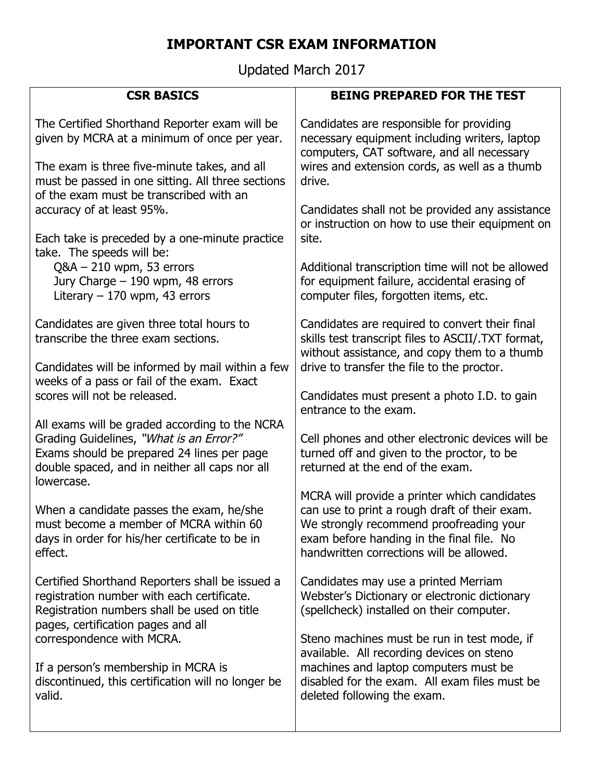## **IMPORTANT CSR EXAM INFORMATION**

Updated March 2017

| <b>CSR BASICS</b>                                                                                                                                                                  | <b>BEING PREPARED FOR THE TEST</b>                                                                                                                                                                                |
|------------------------------------------------------------------------------------------------------------------------------------------------------------------------------------|-------------------------------------------------------------------------------------------------------------------------------------------------------------------------------------------------------------------|
| The Certified Shorthand Reporter exam will be                                                                                                                                      | Candidates are responsible for providing                                                                                                                                                                          |
| given by MCRA at a minimum of once per year.                                                                                                                                       | necessary equipment including writers, laptop                                                                                                                                                                     |
| The exam is three five-minute takes, and all                                                                                                                                       | computers, CAT software, and all necessary                                                                                                                                                                        |
| must be passed in one sitting. All three sections                                                                                                                                  | wires and extension cords, as well as a thumb                                                                                                                                                                     |
| of the exam must be transcribed with an                                                                                                                                            | drive.                                                                                                                                                                                                            |
| accuracy of at least 95%.                                                                                                                                                          | Candidates shall not be provided any assistance                                                                                                                                                                   |
| Each take is preceded by a one-minute practice                                                                                                                                     | or instruction on how to use their equipment on                                                                                                                                                                   |
| take. The speeds will be:                                                                                                                                                          | site.                                                                                                                                                                                                             |
| $Q&A - 210$ wpm, 53 errors                                                                                                                                                         | Additional transcription time will not be allowed                                                                                                                                                                 |
| Jury Charge - 190 wpm, 48 errors                                                                                                                                                   | for equipment failure, accidental erasing of                                                                                                                                                                      |
| Literary $-170$ wpm, 43 errors                                                                                                                                                     | computer files, forgotten items, etc.                                                                                                                                                                             |
| Candidates are given three total hours to                                                                                                                                          | Candidates are required to convert their final                                                                                                                                                                    |
| transcribe the three exam sections.                                                                                                                                                | skills test transcript files to ASCII/.TXT format,                                                                                                                                                                |
| Candidates will be informed by mail within a few                                                                                                                                   | without assistance, and copy them to a thumb                                                                                                                                                                      |
| weeks of a pass or fail of the exam. Exact                                                                                                                                         | drive to transfer the file to the proctor.                                                                                                                                                                        |
| scores will not be released.                                                                                                                                                       | Candidates must present a photo I.D. to gain                                                                                                                                                                      |
| All exams will be graded according to the NCRA                                                                                                                                     | entrance to the exam.                                                                                                                                                                                             |
| Grading Guidelines, "What is an Error?"                                                                                                                                            | Cell phones and other electronic devices will be                                                                                                                                                                  |
| Exams should be prepared 24 lines per page                                                                                                                                         | turned off and given to the proctor, to be                                                                                                                                                                        |
| double spaced, and in neither all caps nor all                                                                                                                                     | returned at the end of the exam.                                                                                                                                                                                  |
| lowercase.                                                                                                                                                                         | MCRA will provide a printer which candidates                                                                                                                                                                      |
| When a candidate passes the exam, he/she                                                                                                                                           | can use to print a rough draft of their exam.                                                                                                                                                                     |
| must become a member of MCRA within 60                                                                                                                                             | We strongly recommend proofreading your                                                                                                                                                                           |
| days in order for his/her certificate to be in                                                                                                                                     | exam before handing in the final file. No                                                                                                                                                                         |
| effect.                                                                                                                                                                            | handwritten corrections will be allowed.                                                                                                                                                                          |
| Certified Shorthand Reporters shall be issued a<br>registration number with each certificate.<br>Registration numbers shall be used on title<br>pages, certification pages and all | Candidates may use a printed Merriam<br>Webster's Dictionary or electronic dictionary<br>(spellcheck) installed on their computer.                                                                                |
| correspondence with MCRA.<br>If a person's membership in MCRA is<br>discontinued, this certification will no longer be<br>valid.                                                   | Steno machines must be run in test mode, if<br>available. All recording devices on steno<br>machines and laptop computers must be<br>disabled for the exam. All exam files must be<br>deleted following the exam. |